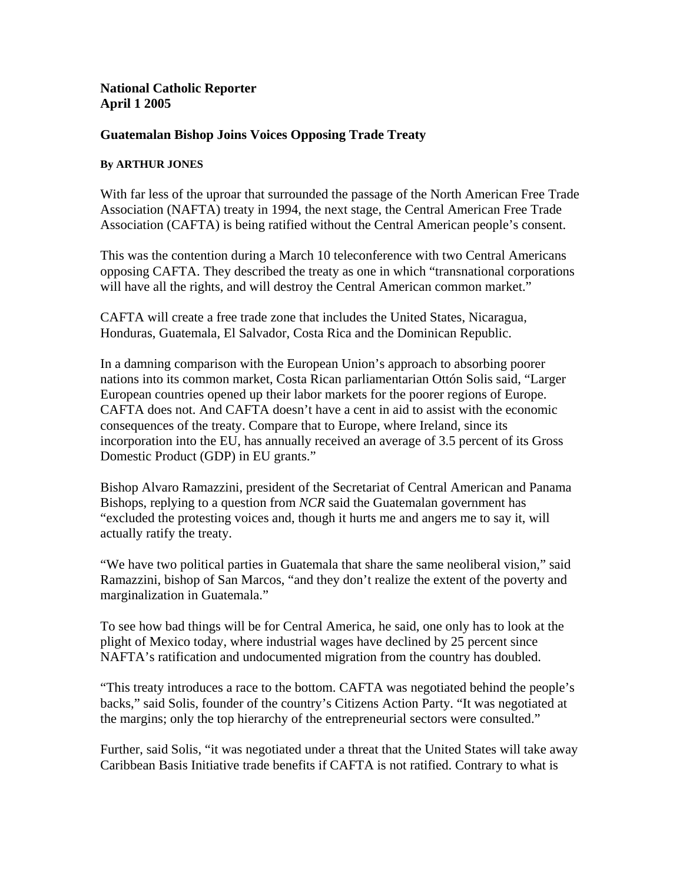## **National Catholic Reporter April 1 2005**

## **Guatemalan Bishop Joins Voices Opposing Trade Treaty**

## **By ARTHUR JONES**

With far less of the uproar that surrounded the passage of the North American Free Trade Association (NAFTA) treaty in 1994, the next stage, the Central American Free Trade Association (CAFTA) is being ratified without the Central American people's consent.

This was the contention during a March 10 teleconference with two Central Americans opposing CAFTA. They described the treaty as one in which "transnational corporations will have all the rights, and will destroy the Central American common market."

CAFTA will create a free trade zone that includes the United States, Nicaragua, Honduras, Guatemala, El Salvador, Costa Rica and the Dominican Republic.

In a damning comparison with the European Union's approach to absorbing poorer nations into its common market, Costa Rican parliamentarian Ottón Solis said, "Larger European countries opened up their labor markets for the poorer regions of Europe. CAFTA does not. And CAFTA doesn't have a cent in aid to assist with the economic consequences of the treaty. Compare that to Europe, where Ireland, since its incorporation into the EU, has annually received an average of 3.5 percent of its Gross Domestic Product (GDP) in EU grants."

Bishop Alvaro Ramazzini, president of the Secretariat of Central American and Panama Bishops, replying to a question from *NCR* said the Guatemalan government has "excluded the protesting voices and, though it hurts me and angers me to say it, will actually ratify the treaty.

"We have two political parties in Guatemala that share the same neoliberal vision," said Ramazzini, bishop of San Marcos, "and they don't realize the extent of the poverty and marginalization in Guatemala."

To see how bad things will be for Central America, he said, one only has to look at the plight of Mexico today, where industrial wages have declined by 25 percent since NAFTA's ratification and undocumented migration from the country has doubled.

"This treaty introduces a race to the bottom. CAFTA was negotiated behind the people's backs," said Solis, founder of the country's Citizens Action Party. "It was negotiated at the margins; only the top hierarchy of the entrepreneurial sectors were consulted."

Further, said Solis, "it was negotiated under a threat that the United States will take away Caribbean Basis Initiative trade benefits if CAFTA is not ratified. Contrary to what is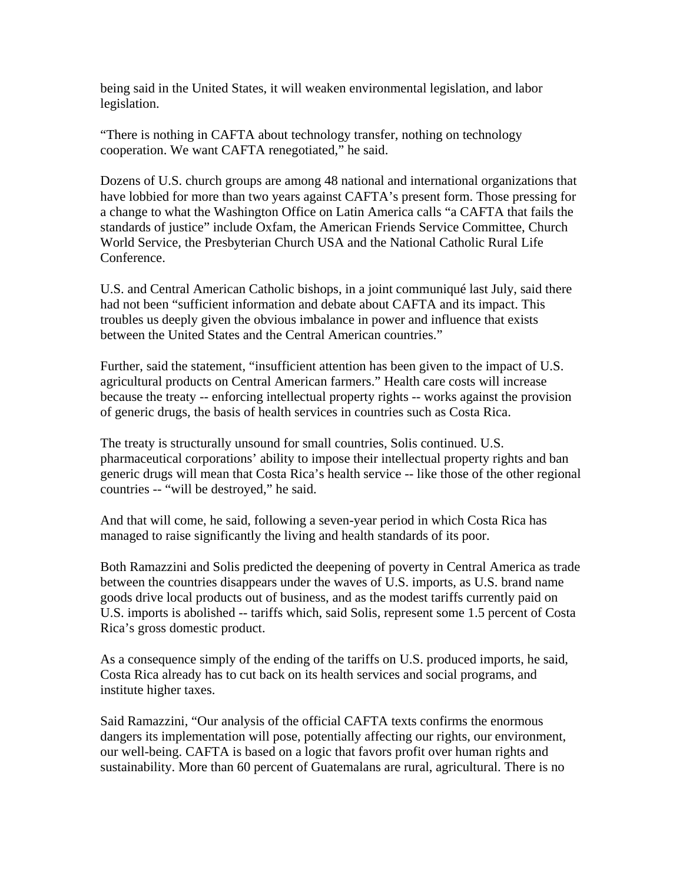being said in the United States, it will weaken environmental legislation, and labor legislation.

"There is nothing in CAFTA about technology transfer, nothing on technology cooperation. We want CAFTA renegotiated," he said.

Dozens of U.S. church groups are among 48 national and international organizations that have lobbied for more than two years against CAFTA's present form. Those pressing for a change to what the Washington Office on Latin America calls "a CAFTA that fails the standards of justice" include Oxfam, the American Friends Service Committee, Church World Service, the Presbyterian Church USA and the National Catholic Rural Life Conference.

U.S. and Central American Catholic bishops, in a joint communiqué last July, said there had not been "sufficient information and debate about CAFTA and its impact. This troubles us deeply given the obvious imbalance in power and influence that exists between the United States and the Central American countries."

Further, said the statement, "insufficient attention has been given to the impact of U.S. agricultural products on Central American farmers." Health care costs will increase because the treaty -- enforcing intellectual property rights -- works against the provision of generic drugs, the basis of health services in countries such as Costa Rica.

The treaty is structurally unsound for small countries, Solis continued. U.S. pharmaceutical corporations' ability to impose their intellectual property rights and ban generic drugs will mean that Costa Rica's health service -- like those of the other regional countries -- "will be destroyed," he said.

And that will come, he said, following a seven-year period in which Costa Rica has managed to raise significantly the living and health standards of its poor.

Both Ramazzini and Solis predicted the deepening of poverty in Central America as trade between the countries disappears under the waves of U.S. imports, as U.S. brand name goods drive local products out of business, and as the modest tariffs currently paid on U.S. imports is abolished -- tariffs which, said Solis, represent some 1.5 percent of Costa Rica's gross domestic product.

As a consequence simply of the ending of the tariffs on U.S. produced imports, he said, Costa Rica already has to cut back on its health services and social programs, and institute higher taxes.

Said Ramazzini, "Our analysis of the official CAFTA texts confirms the enormous dangers its implementation will pose, potentially affecting our rights, our environment, our well-being. CAFTA is based on a logic that favors profit over human rights and sustainability. More than 60 percent of Guatemalans are rural, agricultural. There is no